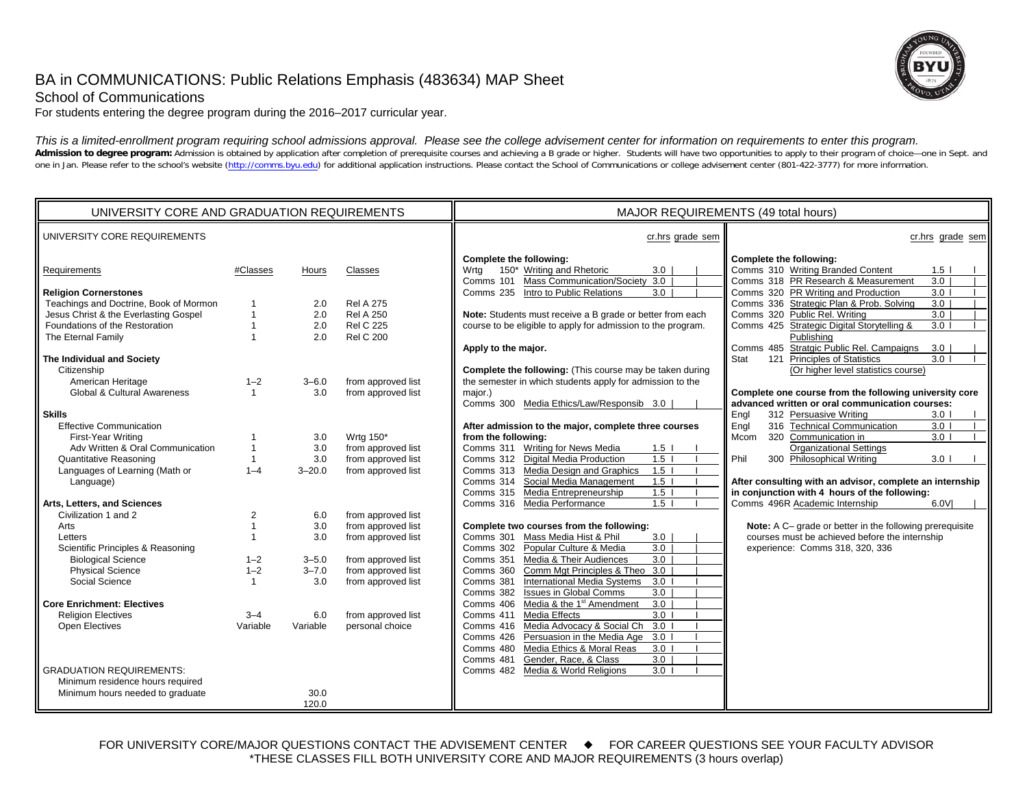# BA in COMMUNICATIONS: Public Relations Emphasis (483634) MAP Sheet



School of Communications

For students entering the degree program during the 2016–2017 curricular year.

*This is a limited-enrollment program requiring school admissions approval. Please see the college advisement center for information on requirements to enter this program.* Admission to degree program: Admission is obtained by application after completion of prerequisite courses and achieving a B grade or higher. Students will have two opportunities to apply to their program of choice-one in one in Jan. Please refer to the school's website (http://comms.byu.edu) for additional application instructions. Please contact the School of Communications or college advisement center (801-422-3777) for more information.

| UNIVERSITY CORE AND GRADUATION REQUIREMENTS |                |            |                    | MAJOR REQUIREMENTS (49 total hours)                                                                                |                                                                                                                                |  |
|---------------------------------------------|----------------|------------|--------------------|--------------------------------------------------------------------------------------------------------------------|--------------------------------------------------------------------------------------------------------------------------------|--|
| UNIVERSITY CORE REQUIREMENTS                |                |            |                    | cr.hrs grade sem                                                                                                   | cr.hrs grade sem                                                                                                               |  |
| Requirements                                | #Classes       | Hours      | Classes            | Complete the following:<br>150* Writing and Rhetoric<br>3.0<br>Wrtg<br>Mass Communication/Society 3.0<br>Comms 101 | Complete the following:<br>Comms 310 Writing Branded Content<br>1.5 <sub>1</sub><br>Comms 318 PR Research & Measurement<br>3.0 |  |
| <b>Religion Cornerstones</b>                |                |            |                    | Comms 235 Intro to Public Relations<br>3.0                                                                         | Comms 320 PR Writing and Production<br>3.0 <sub>1</sub>                                                                        |  |
| Teachings and Doctrine, Book of Mormon      |                | 2.0        | <b>Rel A 275</b>   |                                                                                                                    | Comms 336 Strategic Plan & Prob. Solving<br>3.0                                                                                |  |
| Jesus Christ & the Everlasting Gospel       |                | 2.0        | <b>Rel A 250</b>   | Note: Students must receive a B grade or better from each                                                          | Comms 320 Public Rel. Writing<br>3.0                                                                                           |  |
| Foundations of the Restoration              |                | 2.0        | <b>Rel C 225</b>   | course to be eligible to apply for admission to the program.                                                       | Comms 425 Strategic Digital Storytelling &<br>3.0 <sub>1</sub>                                                                 |  |
| The Eternal Family                          |                | 2.0        | <b>Rel C 200</b>   |                                                                                                                    | Publishing                                                                                                                     |  |
|                                             |                |            |                    | Apply to the major.                                                                                                | Comms 485 Stratgic Public Rel. Campaigns<br>3.0                                                                                |  |
| The Individual and Society                  |                |            |                    |                                                                                                                    | 121 Principles of Statistics<br>Stat<br>3.0 <sub>1</sub>                                                                       |  |
| Citizenship                                 |                |            |                    | Complete the following: (This course may be taken during                                                           | (Or higher level statistics course)                                                                                            |  |
| American Heritage                           | $1 - 2$        | $3 - 6.0$  | from approved list | the semester in which students apply for admission to the                                                          |                                                                                                                                |  |
| Global & Cultural Awareness                 | $\mathbf{1}$   | 3.0        | from approved list | major.)                                                                                                            | Complete one course from the following university core                                                                         |  |
|                                             |                |            |                    | Comms 300 Media Ethics/Law/Responsib 3.0                                                                           | advanced written or oral communication courses:                                                                                |  |
| <b>Skills</b>                               |                |            |                    |                                                                                                                    | Engl<br>312 Persuasive Writing<br>3.0 <sub>1</sub>                                                                             |  |
| <b>Effective Communication</b>              |                |            |                    | After admission to the major, complete three courses                                                               | 316 Technical Communication<br>Engl<br>3.0 <sub>1</sub>                                                                        |  |
| First-Year Writing                          |                | 3.0        | Wrtg 150*          | from the following:                                                                                                | Mcom<br>320 Communication in<br>3.0 <sub>1</sub>                                                                               |  |
| Adv Written & Oral Communication            |                | 3.0        | from approved list | Comms 311 Writing for News Media<br>1.5 <sub>1</sub>                                                               | <b>Organizational Settings</b>                                                                                                 |  |
| <b>Quantitative Reasoning</b>               | $\mathbf{1}$   | 3.0        | from approved list | 1.5 <sub>1</sub><br>Comms 312 Digital Media Production                                                             | Phil<br>300 Philosophical Writing<br>3.0 <sub>1</sub>                                                                          |  |
| Languages of Learning (Math or              | $1 - 4$        | $3 - 20.0$ | from approved list | Media Design and Graphics<br>$1.5$  <br>Comms 313                                                                  |                                                                                                                                |  |
| Language)                                   |                |            |                    | Social Media Management<br>Comms 314<br>$1.5$ l                                                                    | After consulting with an advisor, complete an internship                                                                       |  |
|                                             |                |            |                    | Comms 315 Media Entrepreneurship<br>1.5                                                                            | in conjunction with 4 hours of the following:                                                                                  |  |
| Arts, Letters, and Sciences                 |                |            |                    | Media Performance<br>1.5<br>Comms 316                                                                              | Comms 496R Academic Internship<br>6.0VI                                                                                        |  |
| Civilization 1 and 2                        | $\overline{2}$ | 6.0        | from approved list |                                                                                                                    |                                                                                                                                |  |
| Arts                                        |                | 3.0        | from approved list | Complete two courses from the following:                                                                           | Note: A C- grade or better in the following prerequisite                                                                       |  |
| Letters                                     |                | 3.0        | from approved list | Comms 301<br>Mass Media Hist & Phil<br>3.0                                                                         | courses must be achieved before the internship                                                                                 |  |
| Scientific Principles & Reasoning           |                |            |                    | $\overline{3.0}$<br>Popular Culture & Media<br>Comms 302                                                           | experience: Comms 318, 320, 336                                                                                                |  |
| <b>Biological Science</b>                   | $1 - 2$        | $3 - 5.0$  | from approved list | 3.0<br>Comms 351<br>Media & Their Audiences                                                                        |                                                                                                                                |  |
| <b>Physical Science</b>                     | $1 - 2$        | $3 - 7.0$  | from approved list | Comm Mgt Principles & Theo 3.0<br>Comms 360                                                                        |                                                                                                                                |  |
| Social Science                              | 1              | 3.0        | from approved list | <b>International Media Systems</b><br>3.0<br>Comms 381                                                             |                                                                                                                                |  |
|                                             |                |            |                    | <b>Issues in Global Comms</b><br>3.0<br>Comms 382                                                                  |                                                                                                                                |  |
| <b>Core Enrichment: Electives</b>           |                |            |                    | Media & the 1 <sup>st</sup> Amendment<br>$\overline{3.0}$<br>Comms 406                                             |                                                                                                                                |  |
| <b>Religion Electives</b>                   | $3 - 4$        | 6.0        | from approved list | Media Effects<br>3.0<br>Comms 411                                                                                  |                                                                                                                                |  |
| Open Electives                              | Variable       | Variable   | personal choice    | Media Advocacy & Social Ch<br>3.0<br>Comms 416                                                                     |                                                                                                                                |  |
|                                             |                |            |                    | Persuasion in the Media Age<br>3.0<br>Comms 426                                                                    |                                                                                                                                |  |
|                                             |                |            |                    | Media Ethics & Moral Reas<br>3.0<br>Comms 480                                                                      |                                                                                                                                |  |
|                                             |                |            |                    | Gender, Race, & Class<br>3.0<br>Comms 481                                                                          |                                                                                                                                |  |
| <b>GRADUATION REQUIREMENTS:</b>             |                |            |                    | Media & World Religions<br>3.0<br>Comms 482                                                                        |                                                                                                                                |  |
| Minimum residence hours required            |                |            |                    |                                                                                                                    |                                                                                                                                |  |
| Minimum hours needed to graduate            |                | 30.0       |                    |                                                                                                                    |                                                                                                                                |  |
|                                             |                | 120.0      |                    |                                                                                                                    |                                                                                                                                |  |

FOR UNIVERSITY CORE/MAJOR QUESTIONS CONTACT THE ADVISEMENT CENTER  $\quad \bullet \quad$  FOR CAREER QUESTIONS SEE YOUR FACULTY ADVISOR \*THESE CLASSES FILL BOTH UNIVERSITY CORE AND MAJOR REQUIREMENTS (3 hours overlap)